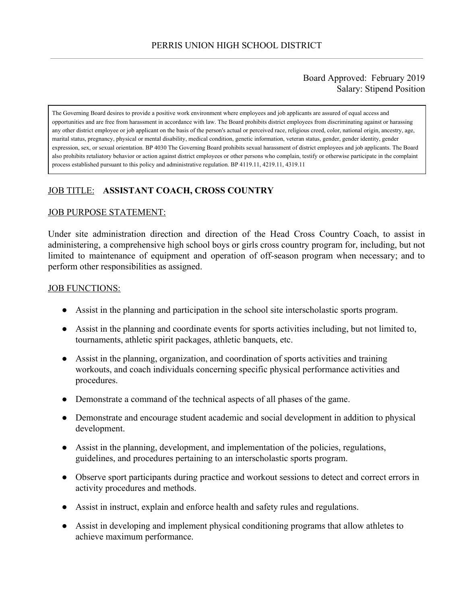### Board Approved: February 2019 Salary: Stipend Position

The Governing Board desires to provide a positive work environment where employees and job applicants are assured of equal access and opportunities and are free from harassment in accordance with law. The Board prohibits district employees from discriminating against or harassing any other district employee or job applicant on the basis of the person's actual or perceived race, religious creed, color, national origin, ancestry, age, marital status, pregnancy, physical or mental disability, medical condition, genetic information, veteran status, gender, gender identity, gender expression, sex, or sexual orientation. BP 4030 The Governing Board prohibits sexual harassment of district employees and job applicants. The Board also prohibits retaliatory behavior or action against district employees or other persons who complain, testify or otherwise participate in the complaint process established pursuant to this policy and administrative regulation. BP 4119.11, 4219.11, 4319.11

# JOB TITLE: **ASSISTANT COACH, CROSS COUNTRY**

#### JOB PURPOSE STATEMENT:

Under site administration direction and direction of the Head Cross Country Coach, to assist in administering, a comprehensive high school boys or girls cross country program for, including, but not limited to maintenance of equipment and operation of off-season program when necessary; and to perform other responsibilities as assigned.

#### JOB FUNCTIONS:

- Assist in the planning and participation in the school site interscholastic sports program.
- Assist in the planning and coordinate events for sports activities including, but not limited to, tournaments, athletic spirit packages, athletic banquets, etc.
- Assist in the planning, organization, and coordination of sports activities and training workouts, and coach individuals concerning specific physical performance activities and procedures.
- Demonstrate a command of the technical aspects of all phases of the game.
- Demonstrate and encourage student academic and social development in addition to physical development.
- Assist in the planning, development, and implementation of the policies, regulations, guidelines, and procedures pertaining to an interscholastic sports program.
- Observe sport participants during practice and workout sessions to detect and correct errors in activity procedures and methods.
- Assist in instruct, explain and enforce health and safety rules and regulations.
- Assist in developing and implement physical conditioning programs that allow athletes to achieve maximum performance.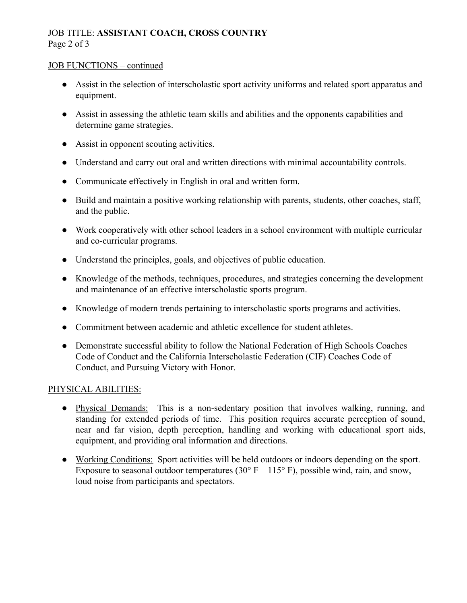# JOB TITLE: **ASSISTANT COACH, CROSS COUNTRY** Page 2 of 3

#### JOB FUNCTIONS – continued

- Assist in the selection of interscholastic sport activity uniforms and related sport apparatus and equipment.
- Assist in assessing the athletic team skills and abilities and the opponents capabilities and determine game strategies.
- Assist in opponent scouting activities.
- Understand and carry out oral and written directions with minimal accountability controls.
- Communicate effectively in English in oral and written form.
- Build and maintain a positive working relationship with parents, students, other coaches, staff, and the public.
- Work cooperatively with other school leaders in a school environment with multiple curricular and co-curricular programs.
- Understand the principles, goals, and objectives of public education.
- Knowledge of the methods, techniques, procedures, and strategies concerning the development and maintenance of an effective interscholastic sports program.
- Knowledge of modern trends pertaining to interscholastic sports programs and activities.
- Commitment between academic and athletic excellence for student athletes.
- Demonstrate successful ability to follow the National Federation of High Schools Coaches Code of Conduct and the California Interscholastic Federation (CIF) Coaches Code of Conduct, and Pursuing Victory with Honor.

## PHYSICAL ABILITIES:

- Physical Demands: This is a non-sedentary position that involves walking, running, and standing for extended periods of time. This position requires accurate perception of sound, near and far vision, depth perception, handling and working with educational sport aids, equipment, and providing oral information and directions.
- Working Conditions: Sport activities will be held outdoors or indoors depending on the sport. Exposure to seasonal outdoor temperatures (30 $\degree$  F – 115 $\degree$  F), possible wind, rain, and snow, loud noise from participants and spectators.